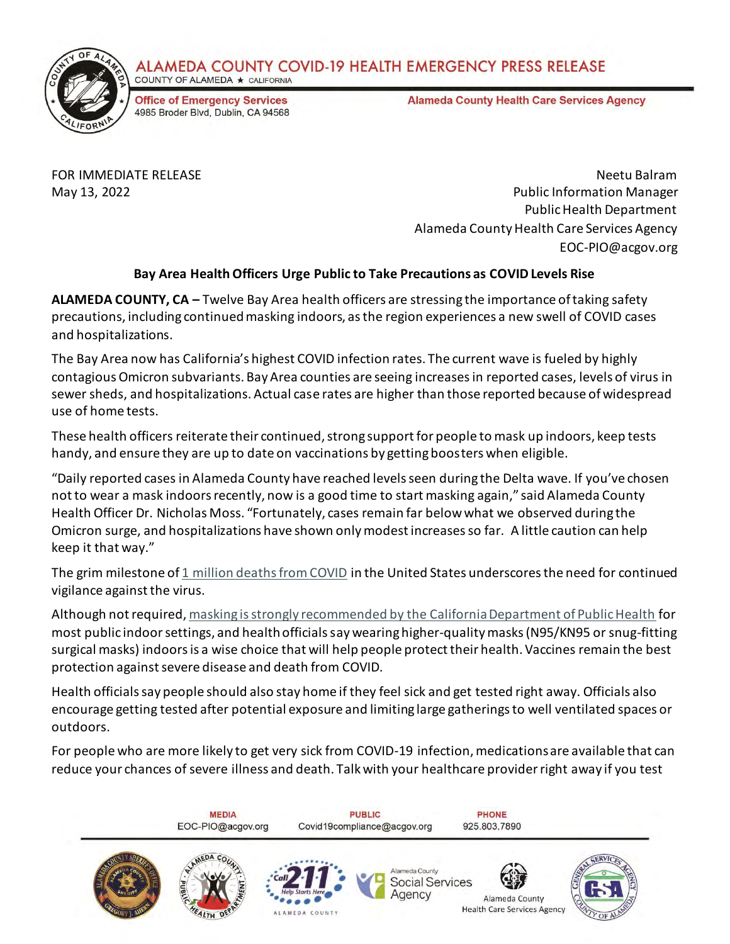



**Office of Emergency Services** 4985 Broder Blvd, Dublin, CA 94568 **Alameda County Health Care Services Agency** 

FOR IMMEDIATE RELEASE Neetu Balram May 13, 2022 Public Information Manager Public Health Department Alameda County Health Care Services Agency EOC-PIO@acgov.org

## **Bay Area Health Officers Urge Public to Take Precautions as COVID Levels Rise**

**ALAMEDA COUNTY, CA –** Twelve Bay Area health officers are stressing the importance of taking safety precautions, including continued masking indoors, as the region experiences a new swell of COVID cases and hospitalizations.

The Bay Area now has California's highest COVID infection rates. The current wave is fueled by highly contagious Omicron subvariants. Bay Area counties are seeing increases in reported cases, levels of virus in sewer sheds, and hospitalizations. Actual case rates are higher than those reported because of widespread use of home tests.

These health officers reiterate their continued, strong support for people to mask up indoors, keep tests handy, and ensure they are up to date on vaccinations by getting boosters when eligible.

"Daily reported cases in Alameda County have reached levels seen during the Delta wave. If you've chosen not to wear a mask indoors recently, now is a good time to start masking again," said Alameda County Health Officer Dr. Nicholas Moss. "Fortunately, cases remain far below what we observed during the Omicron surge, and hospitalizations have shown only modest increases so far. A little caution can help keep it that way."

The grim milestone of  $1$  million deaths from COVID in the United States underscores the need for continued vigilance against the virus.

Although not required[, masking is strongly recommended by the California Department of Public Health](https://www.cdph.ca.gov/programs/CID/DCDC/Pages/COVID-19/guidance-for-face-coverings.aspx) for most public indoor settings, and health officials say wearing higher-quality masks (N95/KN95 or snug-fitting surgical masks) indoors is a wise choice that will help people protect their health. Vaccines remain the best protection against severe disease and death from COVID.

Health officials say people should also stay home if they feel sick and get tested right away. Officials also encourage getting tested after potential exposure and limiting large gatherings to well ventilated spaces or outdoors.

For people who are more likely to get very sick from COVID-19 infection, medications are available that can reduce your chances of severe illness and death. Talk with your healthcare provider right away if you test